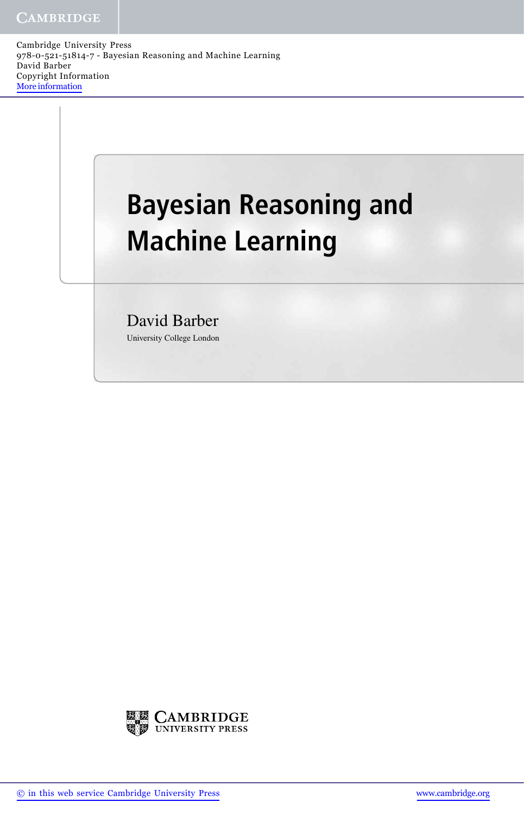Cambridge University Press 978-0-521-51814-7 - Bayesian Reasoning and Machine Learning David Barber Copyright Information More information

## **Bayesian Reasoning and Machine Learning**

David Barber University College London



© in this web service Cambridge University Press www.cambridge.org